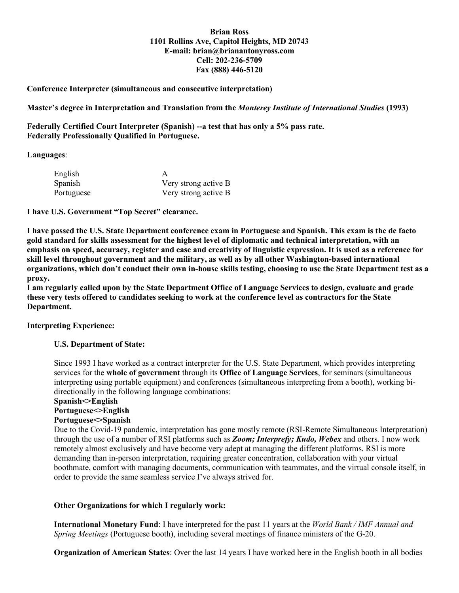## **Brian Ross 1101 Rollins Ave, Capitol Heights, MD 20743 E-mail: brian@brianantonyross.com Cell: 202-236-5709 Fax (888) 446-5120**

# **Conference Interpreter (simultaneous and consecutive interpretation)**

**Master's degree in Interpretation and Translation from the** *Monterey Institute of International Studies* **(1993)**

**Federally Certified Court Interpreter (Spanish) --a test that has only a 5% pass rate. Federally Professionally Qualified in Portuguese.** 

#### **Languages**:

| English    |                      |
|------------|----------------------|
| Spanish    | Very strong active B |
| Portuguese | Very strong active B |

**I have U.S. Government "Top Secret" clearance.**

**I have passed the U.S. State Department conference exam in Portuguese and Spanish. This exam is the de facto gold standard for skills assessment for the highest level of diplomatic and technical interpretation, with an emphasis on speed, accuracy, register and ease and creativity of linguistic expression. It is used as a reference for skill level throughout government and the military, as well as by all other Washington-based international organizations, which don't conduct their own in-house skills testing, choosing to use the State Department test as a proxy.**

**I am regularly called upon by the State Department Office of Language Services to design, evaluate and grade these very tests offered to candidates seeking to work at the conference level as contractors for the State Department.**

## **Interpreting Experience:**

## **U.S. Department of State:**

Since 1993 I have worked as a contract interpreter for the U.S. State Department, which provides interpreting services for the **whole of government** through its **Office of Language Services**, for seminars (simultaneous interpreting using portable equipment) and conferences (simultaneous interpreting from a booth), working bidirectionally in the following language combinations:

#### **Spanish<>English**

## **Portuguese<>English**

## **Portuguese<>Spanish**

Due to the Covid-19 pandemic, interpretation has gone mostly remote (RSI-Remote Simultaneous Interpretation) through the use of a number of RSI platforms such as *Zoom; Interprefy; Kudo, Webex* and others. I now work remotely almost exclusively and have become very adept at managing the different platforms. RSI is more demanding than in-person interpretation, requiring greater concentration, collaboration with your virtual boothmate, comfort with managing documents, communication with teammates, and the virtual console itself, in order to provide the same seamless service I've always strived for.

## **Other Organizations for which I regularly work:**

**International Monetary Fund**: I have interpreted for the past 11 years at the *World Bank / IMF Annual and Spring Meetings* (Portuguese booth), including several meetings of finance ministers of the G-20.

**Organization of American States**: Over the last 14 years I have worked here in the English booth in all bodies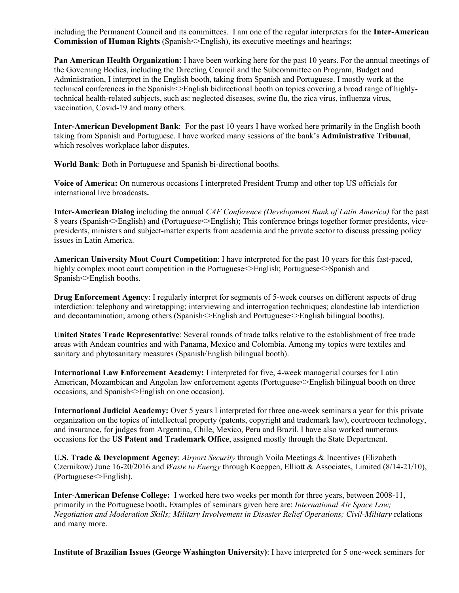including the Permanent Council and its committees. I am one of the regular interpreters for the **Inter-American Commission of Human Rights** (Spanish $\leq$ English), its executive meetings and hearings;

**Pan American Health Organization**: I have been working here for the past 10 years. For the annual meetings of the Governing Bodies, including the Directing Council and the Subcommittee on Program, Budget and Administration, I interpret in the English booth, taking from Spanish and Portuguese. I mostly work at the technical conferences in the Spanish<>English bidirectional booth on topics covering a broad range of highlytechnical health-related subjects, such as: neglected diseases, swine flu, the zica virus, influenza virus, vaccination, Covid-19 and many others.

**Inter-American Development Bank**: For the past 10 years I have worked here primarily in the English booth taking from Spanish and Portuguese. I have worked many sessions of the bank's **Administrative Tribunal**, which resolves workplace labor disputes.

**World Bank**: Both in Portuguese and Spanish bi-directional booths.

**Voice of America:** On numerous occasions I interpreted President Trump and other top US officials for international live broadcasts**.**

**Inter-American Dialog** including the annual *CAF Conference (Development Bank of Latin America)* for the past 8 years (Spanish $\Diamond$ English) and (Portuguese $\Diamond$ English); This conference brings together former presidents, vicepresidents, ministers and subject-matter experts from academia and the private sector to discuss pressing policy issues in Latin America.

**American University Moot Court Competition**: I have interpreted for the past 10 years for this fast-paced, highly complex moot court competition in the Portuguese English; Portuguese Spanish and Spanish<>English booths.

**Drug Enforcement Agency**: I regularly interpret for segments of 5-week courses on different aspects of drug interdiction: telephony and wiretapping; interviewing and interrogation techniques; clandestine lab interdiction and decontamination; among others (Spanish $\leq$ English and Portuguese $\leq$ English bilingual booths).

**United States Trade Representative**: Several rounds of trade talks relative to the establishment of free trade areas with Andean countries and with Panama, Mexico and Colombia. Among my topics were textiles and sanitary and phytosanitary measures (Spanish/English bilingual booth).

**International Law Enforcement Academy:** I interpreted for five, 4-week managerial courses for Latin American, Mozambican and Angolan law enforcement agents (Portuguese $\leq$ English bilingual booth on three occasions, and Spanish<>English on one occasion).

**International Judicial Academy:** Over 5 years I interpreted for three one-week seminars a year for this private organization on the topics of intellectual property (patents, copyright and trademark law), courtroom technology, and insurance, for judges from Argentina, Chile, Mexico, Peru and Brazil. I have also worked numerous occasions for the **US Patent and Trademark Office**, assigned mostly through the State Department.

**U.S. Trade & Development Agency**: *Airport Security* through Voila Meetings & Incentives (Elizabeth Czernikow) June 16-20/2016 and *Waste to Energy* through Koeppen, Elliott & Associates, Limited (8/14-21/10), (Portuguese<>English).

**Inter**-**American Defense College:** I worked here two weeks per month for three years, between 2008-11, primarily in the Portuguese booth**.** Examples of seminars given here are: *International Air Space Law; Negotiation and Moderation Skills; Military Involvement in Disaster Relief Operations; Civil-Military* relations and many more.

**Institute of Brazilian Issues (George Washington University)**: I have interpreted for 5 one-week seminars for